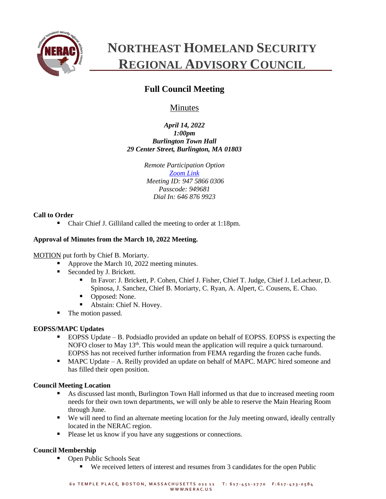

# **NORTHEAST HOMELAND SECURITY REGIONAL ADVISORY COUNCIL**

# **Full Council Meeting**

# **Minutes**

*April 14, 2022 1:00pm Burlington Town Hall 29 Center Street, Burlington, MA 01803*

> *Remote Participation Option [Zoom Link](https://zoom.us/j/94758660306?pwd=SzNhc1dNd0ZYNGg4c0pmalJ1bXVMdz09) Meeting ID: 947 5866 0306 Passcode: 949681 Dial In: 646 876 9923*

# **Call to Order**

■ Chair Chief J. Gilliland called the meeting to order at 1:18pm.

# **Approval of Minutes from the March 10, 2022 Meeting.**

# MOTION put forth by Chief B. Moriarty.

- Approve the March 10, 2022 meeting minutes.
- Seconded by J. Brickett.
	- In Favor: J. Brickett, P. Cohen, Chief J. Fisher, Chief T. Judge, Chief J. LeLacheur, D. Spinosa, J. Sanchez, Chief B. Moriarty, C. Ryan, A. Alpert, C. Cousens, E. Chao.
	- Opposed: None.
	- Abstain: Chief N. Hovey.
- The motion passed.

# **EOPSS/MAPC Updates**

- EOPSS Update B. Podsiadlo provided an update on behalf of EOPSS. EOPSS is expecting the NOFO closer to May 13<sup>th</sup>. This would mean the application will require a quick turnaround. EOPSS has not received further information from FEMA regarding the frozen cache funds.
- MAPC Update A. Reilly provided an update on behalf of MAPC. MAPC hired someone and has filled their open position.

# **Council Meeting Location**

- As discussed last month, Burlington Town Hall informed us that due to increased meeting room needs for their own town departments, we will only be able to reserve the Main Hearing Room through June.
- We will need to find an alternate meeting location for the July meeting onward, ideally centrally located in the NERAC region.
- Please let us know if you have any suggestions or connections.

# **Council Membership**

- Open Public Schools Seat
	- We received letters of interest and resumes from 3 candidates for the open Public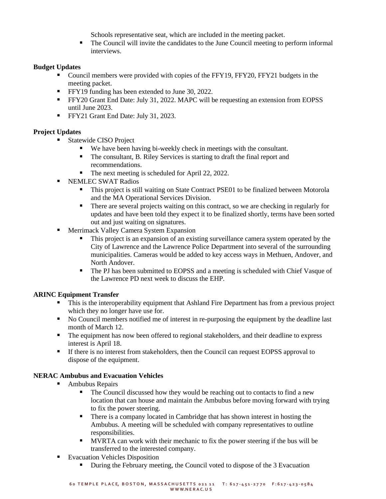Schools representative seat, which are included in the meeting packet.

▪ The Council will invite the candidates to the June Council meeting to perform informal interviews.

# **Budget Updates**

- Council members were provided with copies of the FFY19, FFY20, FFY21 budgets in the meeting packet.
- **•** FFY19 funding has been extended to June 30, 2022.
- FFY20 Grant End Date: July 31, 2022. MAPC will be requesting an extension from EOPSS until June 2023.
- **•** FFY21 Grant End Date: July 31, 2023.

# **Project Updates**

- Statewide CISO Project
	- We have been having bi-weekly check in meetings with the consultant.
	- The consultant, B. Riley Services is starting to draft the final report and recommendations.
	- The next meeting is scheduled for April 22, 2022.
- **EXEMPLEC SWAT Radios** 
	- This project is still waiting on State Contract PSE01 to be finalized between Motorola and the MA Operational Services Division.
	- **•** There are several projects waiting on this contract, so we are checking in regularly for updates and have been told they expect it to be finalized shortly, terms have been sorted out and just waiting on signatures.
- Merrimack Valley Camera System Expansion
	- This project is an expansion of an existing surveillance camera system operated by the City of Lawrence and the Lawrence Police Department into several of the surrounding municipalities. Cameras would be added to key access ways in Methuen, Andover, and North Andover.
	- The PJ has been submitted to EOPSS and a meeting is scheduled with Chief Vasque of the Lawrence PD next week to discuss the EHP.

# **ARINC Equipment Transfer**

- **...** This is the interoperability equipment that Ashland Fire Department has from a previous project which they no longer have use for.
- No Council members notified me of interest in re-purposing the equipment by the deadline last month of March 12.
- The equipment has now been offered to regional stakeholders, and their deadline to express interest is April 18.
- **•** If there is no interest from stakeholders, then the Council can request EOPSS approval to dispose of the equipment.

#### **NERAC Ambubus and Evacuation Vehicles**

- Ambubus Repairs
	- The Council discussed how they would be reaching out to contacts to find a new location that can house and maintain the Ambubus before moving forward with trying to fix the power steering.
	- There is a company located in Cambridge that has shown interest in hosting the Ambubus. A meeting will be scheduled with company representatives to outline responsibilities.
	- **EXECUTE:** MVRTA can work with their mechanic to fix the power steering if the bus will be transferred to the interested company.
- Evacuation Vehicles Disposition
	- During the February meeting, the Council voted to dispose of the 3 Evacuation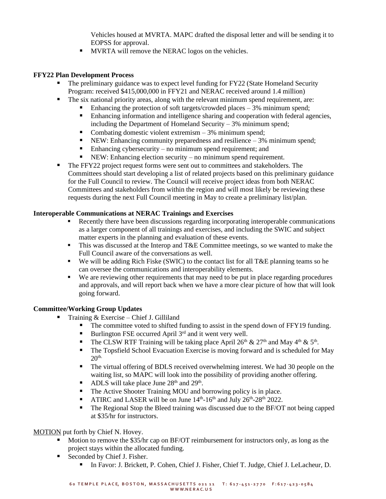Vehicles housed at MVRTA. MAPC drafted the disposal letter and will be sending it to EOPSS for approval.

**■** MVRTA will remove the NERAC logos on the vehicles.

#### **FFY22 Plan Development Process**

- The preliminary guidance was to expect level funding for FY22 (State Homeland Security Program: received \$415,000,000 in FFY21 and NERAC received around 1.4 million)
- The six national priority areas, along with the relevant minimum spend requirement, are:
	- Enhancing the protection of soft targets/crowded places  $-3\%$  minimum spend;
		- **Enhancing information and intelligence sharing and cooperation with federal agencies,** including the Department of Homeland Security  $-3\%$  minimum spend;
		- Combating domestic violent extremism  $-3\%$  minimum spend;
		- **•** NEW: Enhancing community preparedness and resilience  $-3\%$  minimum spend;
		- Enhancing cybersecurity no minimum spend requirement; and
		- NEW: Enhancing election security no minimum spend requirement.
- The FFY22 project request forms were sent out to committees and stakeholders. The Committees should start developing a list of related projects based on this preliminary guidance for the Full Council to review. The Council will receive project ideas from both NERAC Committees and stakeholders from within the region and will most likely be reviewing these requests during the next Full Council meeting in May to create a preliminary list/plan.

# **Interoperable Communications at NERAC Trainings and Exercises**

- Recently there have been discussions regarding incorporating interoperable communications as a larger component of all trainings and exercises, and including the SWIC and subject matter experts in the planning and evaluation of these events.
- **...** This was discussed at the Interop and T&E Committee meetings, so we wanted to make the Full Council aware of the conversations as well.
- We will be adding Rich Fiske (SWIC) to the contact list for all T&E planning teams so he can oversee the communications and interoperability elements.
- We are reviewing other requirements that may need to be put in place regarding procedures and approvals, and will report back when we have a more clear picture of how that will look going forward.

#### **Committee/Working Group Updates**

- Training  $&$  Exercise Chief J. Gilliland
	- The committee voted to shifted funding to assist in the spend down of FFY19 funding.
	- **EXECUTE:** Burlington FSE occurred April  $3^{rd}$  and it went very well.
	- **•** The CLSW RTF Training will be taking place April 26<sup>th</sup> & 27<sup>th</sup> and May 4<sup>th</sup> & 5<sup>th</sup>.
	- The Topsfield School Evacuation Exercise is moving forward and is scheduled for May  $20<sup>th</sup>$
	- The virtual offering of BDLS received overwhelming interest. We had 30 people on the waiting list, so MAPC will look into the possibility of providing another offering.
	- $\blacksquare$  ADLS will take place June 28<sup>th</sup> and 29<sup>th</sup>.
	- The Active Shooter Training MOU and borrowing policy is in place.
	- **THE ATIRC** and LASER will be on June  $14<sup>th</sup>$ -16<sup>th</sup> and July  $26<sup>th</sup>$ -28<sup>th</sup> 2022.
	- The Regional Stop the Bleed training was discussed due to the BF/OT not being capped at \$35/hr for instructors.

#### MOTION put forth by Chief N. Hovey.

- Motion to remove the \$35/hr cap on BF/OT reimbursement for instructors only, as long as the project stays within the allocated funding.
- Seconded by Chief J. Fisher.
	- In Favor: J. Brickett, P. Cohen, Chief J. Fisher, Chief T. Judge, Chief J. LeLacheur, D.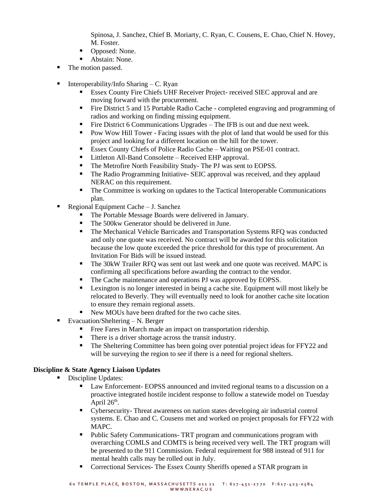Spinosa, J. Sanchez, Chief B. Moriarty, C. Ryan, C. Cousens, E. Chao, Chief N. Hovey, M. Foster.

- Opposed: None.
- Abstain: None.
- The motion passed.
- **•** Interoperability/Info Sharing  $-C$ . Ryan
	- Essex County Fire Chiefs UHF Receiver Project- received SIEC approval and are moving forward with the procurement.
	- Fire District 5 and 15 Portable Radio Cache completed engraving and programming of radios and working on finding missing equipment.
	- Fire District 6 Communications Upgrades The IFB is out and due next week.
	- Pow Wow Hill Tower Facing issues with the plot of land that would be used for this project and looking for a different location on the hill for the tower.
	- Essex County Chiefs of Police Radio Cache Waiting on PSE-01 contract.
	- Littleton All-Band Consolette Received EHP approval.
	- The Metrofire North Feasibility Study- The PJ was sent to EOPSS.
	- The Radio Programming Initiative- SEIC approval was received, and they applaud NERAC on this requirement.
	- The Committee is working on updates to the Tactical Interoperable Communications plan.
- Regional Equipment Cache J. Sanchez
	- The Portable Message Boards were delivered in January.
	- The 500kw Generator should be delivered in June.
	- The Mechanical Vehicle Barricades and Transportation Systems RFQ was conducted and only one quote was received. No contract will be awarded for this solicitation because the low quote exceeded the price threshold for this type of procurement. An Invitation For Bids will be issued instead.
	- The 30kW Trailer RFO was sent out last week and one quote was received. MAPC is confirming all specifications before awarding the contract to the vendor.
	- The Cache maintenance and operations PJ was approved by EOPSS.
	- Lexington is no longer interested in being a cache site. Equipment will most likely be relocated to Beverly. They will eventually need to look for another cache site location to ensure they remain regional assets.
	- New MOUs have been drafted for the two cache sites.
- Evacuation/Sheltering  $N$ . Berger
	- **•** Free Fares in March made an impact on transportation ridership.
	- There is a driver shortage across the transit industry.
	- The Sheltering Committee has been going over potential project ideas for FFY22 and will be surveying the region to see if there is a need for regional shelters.

#### **Discipline & State Agency Liaison Updates**

- Discipline Updates:
	- Law Enforcement- EOPSS announced and invited regional teams to a discussion on a proactive integrated hostile incident response to follow a statewide model on Tuesday April  $26<sup>th</sup>$ .
	- Cybersecurity- Threat awareness on nation states developing air industrial control systems. E. Chao and C. Cousens met and worked on project proposals for FFY22 with MAPC.
	- Public Safety Communications- TRT program and communications program with overarching COMLS and COMTS is being received very well. The TRT program will be presented to the 911 Commission. Federal requirement for 988 instead of 911 for mental health calls may be rolled out in July.
	- Correctional Services- The Essex County Sheriffs opened a STAR program in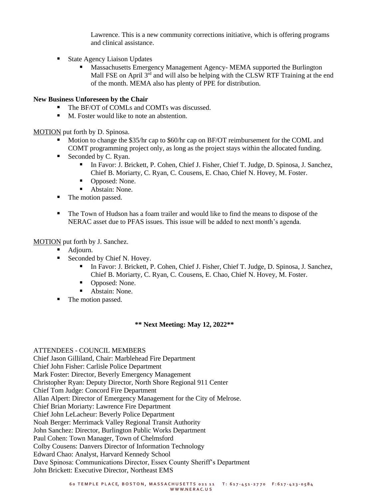Lawrence. This is a new community corrections initiative, which is offering programs and clinical assistance.

- **State Agency Liaison Updates** 
	- Massachusetts Emergency Management Agency- MEMA supported the Burlington Mall FSE on April  $3<sup>rd</sup>$  and will also be helping with the CLSW RTF Training at the end of the month. MEMA also has plenty of PPE for distribution.

#### **New Business Unforeseen by the Chair**

- The BF/OT of COMLs and COMTs was discussed.
- M. Foster would like to note an abstention.

MOTION put forth by D. Spinosa.

- Motion to change the \$35/hr cap to \$60/hr cap on BF/OT reimbursement for the COML and COMT programming project only, as long as the project stays within the allocated funding.
- Seconded by C. Ryan.
	- In Favor: J. Brickett, P. Cohen, Chief J. Fisher, Chief T. Judge, D. Spinosa, J. Sanchez, Chief B. Moriarty, C. Ryan, C. Cousens, E. Chao, Chief N. Hovey, M. Foster.
	- Opposed: None.
	- Abstain: None.
- The motion passed.
- The Town of Hudson has a foam trailer and would like to find the means to dispose of the NERAC asset due to PFAS issues. This issue will be added to next month's agenda.

#### MOTION put forth by J. Sanchez.

- Adjourn.
- Seconded by Chief N. Hovey.
	- In Favor: J. Brickett, P. Cohen, Chief J. Fisher, Chief T. Judge, D. Spinosa, J. Sanchez, Chief B. Moriarty, C. Ryan, C. Cousens, E. Chao, Chief N. Hovey, M. Foster.
	- Opposed: None.
	- Abstain: None.
- The motion passed.

#### **\*\* Next Meeting: May 12, 2022\*\***

#### ATTENDEES - COUNCIL MEMBERS

Chief Jason Gilliland, Chair: Marblehead Fire Department Chief John Fisher: Carlisle Police Department Mark Foster: Director, Beverly Emergency Management Christopher Ryan: Deputy Director, North Shore Regional 911 Center Chief Tom Judge: Concord Fire Department Allan Alpert: Director of Emergency Management for the City of Melrose. Chief Brian Moriarty: Lawrence Fire Department Chief John LeLacheur: Beverly Police Department Noah Berger: Merrimack Valley Regional Transit Authority John Sanchez: Director, Burlington Public Works Department Paul Cohen: Town Manager, Town of Chelmsford Colby Cousens: Danvers Director of Information Technology Edward Chao: Analyst, Harvard Kennedy School Dave Spinosa: Communications Director, Essex County Sheriff's Department John Brickett: Executive Director, Northeast EMS